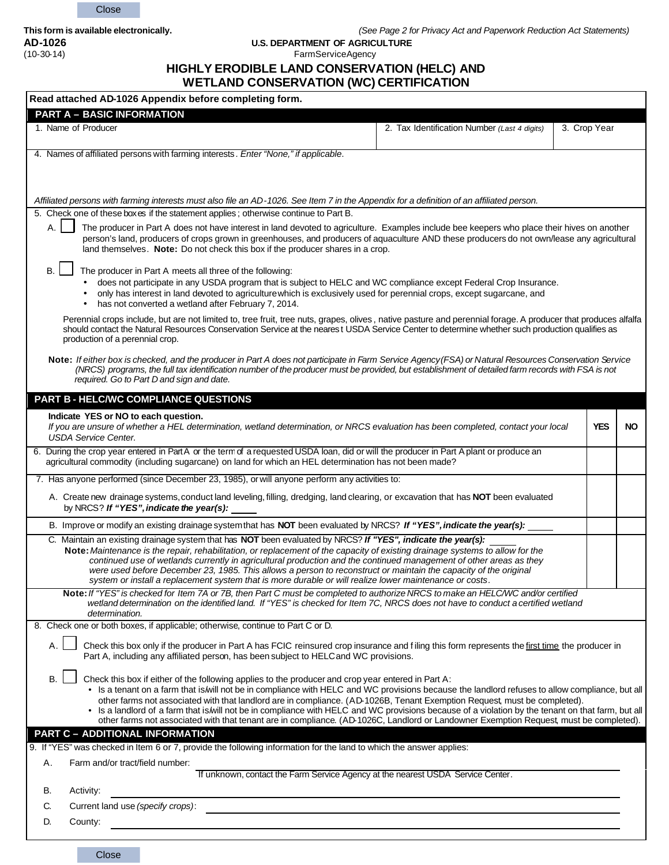Close

**AD-1026 U.S. DEPARTMENT OF AGRICULTURE** 

#### FarmServiceAgency

# **HIGHLY ERODIBLE LAND CONSERVATION (HELC) AND**

## **WETLAND CONSERVATION (WC) CERTIFICATION**

| Read attached AD-1026 Appendix before completing form.                                                                                                                                                                                                                                                                                                                                                                                                                                                                                                                                                                                                                                          |                                              |              |     |
|-------------------------------------------------------------------------------------------------------------------------------------------------------------------------------------------------------------------------------------------------------------------------------------------------------------------------------------------------------------------------------------------------------------------------------------------------------------------------------------------------------------------------------------------------------------------------------------------------------------------------------------------------------------------------------------------------|----------------------------------------------|--------------|-----|
| <b>PART A - BASIC INFORMATION</b>                                                                                                                                                                                                                                                                                                                                                                                                                                                                                                                                                                                                                                                               |                                              |              |     |
| 1. Name of Producer                                                                                                                                                                                                                                                                                                                                                                                                                                                                                                                                                                                                                                                                             | 2. Tax Identification Number (Last 4 digits) | 3. Crop Year |     |
| 4. Names of affiliated persons with farming interests . Enter "None," if applicable.                                                                                                                                                                                                                                                                                                                                                                                                                                                                                                                                                                                                            |                                              |              |     |
| Affiliated persons with farming interests must also file an AD-1026. See Item 7 in the Appendix for a definition of an affiliated person.                                                                                                                                                                                                                                                                                                                                                                                                                                                                                                                                                       |                                              |              |     |
| 5. Check one of these boxes if the statement applies; otherwise continue to Part B.<br>The producer in Part A does not have interest in land devoted to agriculture. Examples include bee keepers who place their hives on another<br>person's land, producers of crops grown in greenhouses, and producers of aquaculture AND these producers do not own/lease any agricultural<br>land themselves. Note: Do not check this box if the producer shares in a crop.                                                                                                                                                                                                                              |                                              |              |     |
| <b>B.</b><br>The producer in Part A meets all three of the following:<br>does not participate in any USDA program that is subject to HELC and WC compliance except Federal Crop Insurance.<br>only has interest in land devoted to agriculture which is exclusively used for perennial crops, except sugarcane, and<br>has not converted a wetland after February 7, 2014.                                                                                                                                                                                                                                                                                                                      |                                              |              |     |
| Perennial crops include, but are not limited to, tree fruit, tree nuts, grapes, olives, native pasture and perennial forage. A producer that produces alfalfa<br>should contact the Natural Resources Conservation Service at the nearest USDA Service Center to determine whether such production qualifies as<br>production of a perennial crop.                                                                                                                                                                                                                                                                                                                                              |                                              |              |     |
| Note: If either box is checked, and the producer in Part A does not participate in Farm Service Agency (FSA) or Natural Resources Conservation Service<br>(NRCS) programs, the full tax identification number of the producer must be provided, but establishment of detailed farm records with FSA is not<br>required. Go to Part D and sign and date.                                                                                                                                                                                                                                                                                                                                         |                                              |              |     |
| PART B - HELC/WC COMPLIANCE QUESTIONS                                                                                                                                                                                                                                                                                                                                                                                                                                                                                                                                                                                                                                                           |                                              |              |     |
| Indicate YES or NO to each question.<br>If you are unsure of whether a HEL determination, wetland determination, or NRCS evaluation has been completed, contact your local<br><b>USDA Service Center.</b>                                                                                                                                                                                                                                                                                                                                                                                                                                                                                       |                                              | <b>YES</b>   | NO. |
| 6. During the crop year entered in Part A or the term of a requested USDA loan, did or will the producer in Part A plant or produce an<br>agricultural commodity (including sugarcane) on land for which an HEL determination has not been made?                                                                                                                                                                                                                                                                                                                                                                                                                                                |                                              |              |     |
| 7. Has anyone performed (since December 23, 1985), or will anyone perform any activities to:                                                                                                                                                                                                                                                                                                                                                                                                                                                                                                                                                                                                    |                                              |              |     |
| A. Create new drainage systems, conduct land leveling, filling, dredging, land clearing, or excavation that has NOT been evaluated<br>by NRCS? If "YES", indicate the year(s):                                                                                                                                                                                                                                                                                                                                                                                                                                                                                                                  |                                              |              |     |
| B. Improve or modify an existing drainage system that has NOT been evaluated by NRCS? If "YES", indicate the year(s):                                                                                                                                                                                                                                                                                                                                                                                                                                                                                                                                                                           |                                              |              |     |
| C. Maintain an existing drainage system that has NOT been evaluated by NRCS? If "YES", indicate the year(s):<br>Note: Maintenance is the repair, rehabilitation, or replacement of the capacity of existing drainage systems to allow for the<br>continued use of wetlands currently in agricultural production and the continued management of other areas as they<br>were used before December 23, 1985. This allows a person to reconstruct or maintain the capacity of the original<br>system or install a replacement system that is more durable or will realize lower maintenance or costs.                                                                                              |                                              |              |     |
| Note: If "YES" is checked for Item 7A or 7B, then Part C must be completed to authorize NRCS to make an HELC/WC and/or certified<br>wetland determination on the identified land. If "YES" is checked for Item 7C, NRCS does not have to conduct a certified wetland<br>determination.                                                                                                                                                                                                                                                                                                                                                                                                          |                                              |              |     |
| 8. Check one or both boxes, if applicable; otherwise, continue to Part C or D.                                                                                                                                                                                                                                                                                                                                                                                                                                                                                                                                                                                                                  |                                              |              |     |
| A.<br>Check this box only if the producer in Part A has FCIC reinsured crop insurance and filing this form represents the first time the producer in<br>Part A, including any affiliated person, has been subject to HELC and WC provisions.                                                                                                                                                                                                                                                                                                                                                                                                                                                    |                                              |              |     |
| <b>B.</b><br>Check this box if either of the following applies to the producer and crop year entered in Part A:<br>• Is a tenant on a farm that is will not be in compliance with HELC and WC provisions because the landlord refuses to allow compliance, but all<br>other farms not associated with that landlord are in compliance. (AD-1026B, Tenant Exemption Request, must be completed).<br>• Is a landlord of a farm that is will not be in compliance with HELC and WC provisions because of a violation by the tenant on that farm, but all<br>other farms not associated with that tenant are in compliance. (AD-1026C, Landlord or Landowner Exemption Request, must be completed). |                                              |              |     |
| <b>PART C - ADDITIONAL INFORMATION</b>                                                                                                                                                                                                                                                                                                                                                                                                                                                                                                                                                                                                                                                          |                                              |              |     |
| 9. If "YES" was checked in Item 6 or 7, provide the following information for the land to which the answer applies:                                                                                                                                                                                                                                                                                                                                                                                                                                                                                                                                                                             |                                              |              |     |
| Farm and/or tract/field number:<br>Α.<br>If unknown, contact the Farm Service Agency at the nearest USDA Service Center.                                                                                                                                                                                                                                                                                                                                                                                                                                                                                                                                                                        |                                              |              |     |
| В.<br>Activity:                                                                                                                                                                                                                                                                                                                                                                                                                                                                                                                                                                                                                                                                                 |                                              |              |     |
| Current land use (specify crops):<br>C.                                                                                                                                                                                                                                                                                                                                                                                                                                                                                                                                                                                                                                                         |                                              |              |     |
| D.<br>County:                                                                                                                                                                                                                                                                                                                                                                                                                                                                                                                                                                                                                                                                                   |                                              |              |     |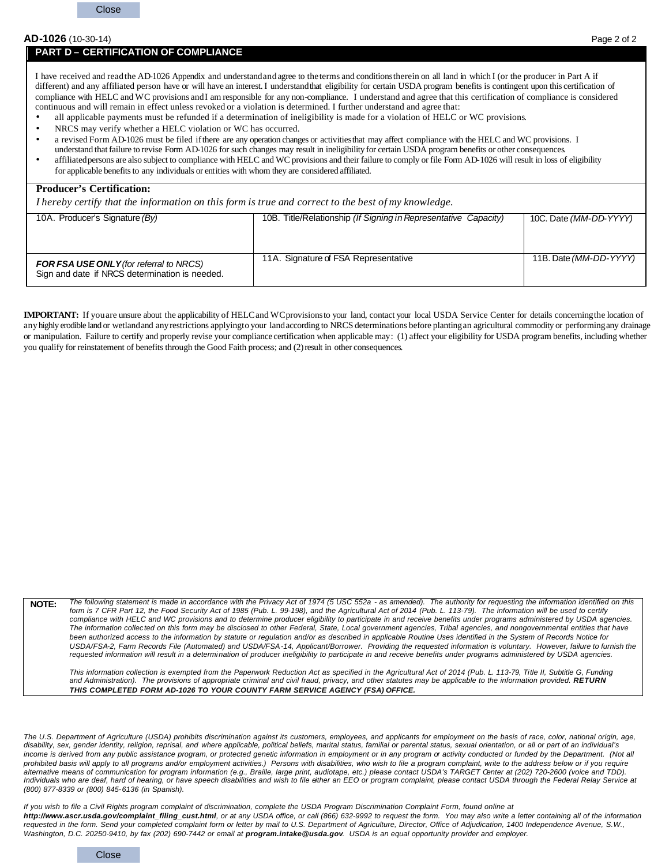#### **AD-1026** (10-30-14) Page 2 of 2

#### **PART D – CERTIFICATION OF COMPLIANCE**

I have received and readthe AD-1026 Appendix and understandandagree to theterms and conditionstherein on all land in which I (or the producer in Part A if different) and any affiliated person have or will have an interest. I understand that eligibility for certain USDA program benefits is contingent upon this certification of compliance with HELC and WC provisions andI am responsible for any non-compliance. I understand and agree that this certification of compliance is considered continuous and will remain in effect unless revoked or a violation is determined. I further understand and agree that:

- all applicable payments must be refunded if a determination of ineligibility is made for a violation of HELC or WC provisions.
- NRCS may verify whether a HELC violation or WC has occurred.
- a revised Form AD-1026 must be filed ifthere are any operation changes or activitiesthat may affect compliance with the HELC and WC provisions. I
- understand that failure to revise Form AD-1026 for such changes may result in ineligibility for certain USDA program benefits or other consequences.
- affiliatedpersons are also subject to compliance with HELC and WC provisions and their failure to comply or file Form AD-1026 will result in loss of eligibility for applicable benefits to any individuals or entities with whom they are considered affiliated.

#### **Producer's Certification:**

*I hereby certify that the information on this form is true and correct to the best of my knowledge.*

| 10A. Producer's Signature (By)                 | 10B. Title/Relationship (If Signing in Representative Capacity) | 10C. Date (MM-DD-YYYY) |
|------------------------------------------------|-----------------------------------------------------------------|------------------------|
|                                                |                                                                 |                        |
|                                                |                                                                 |                        |
|                                                |                                                                 |                        |
|                                                |                                                                 |                        |
|                                                | 11A. Signature of FSA Representative                            | 11B. Date (MM-DD-YYYY) |
| <b>FOR FSA USE ONLY</b> (for referral to NRCS) |                                                                 |                        |
| Sign and date if NRCS determination is needed. |                                                                 |                        |
|                                                |                                                                 |                        |

**IMPORTANT:** If youare unsure about the applicability of HELCand WCprovisionsto your land, contact your local USDA Service Center for details concerningthe location of anyhighly erodible land or wetlandand anyrestrictions applyingto your landaccording to NRCS determinations before plantingan agricultural commodity or performingany drainage or manipulation. Failure to certify and properly revise your compliance certification when applicable may: (1) affect your eligibility for USDA program benefits, including whether you qualify for reinstatement of benefits through the Good Faith process; and (2) result in other consequences.

**NOTE:** *The following statement is made in accordance with the Privacy Act of 1974 (5 USC 552a - as amended). The authority for requesting the information identified on this*  form is 7 CFR Part 12, the Food Security Act of 1985 (Pub. L. 99-198), and the Agricultural Act of 2014 (Pub. L. 113-79). The information will be used to certify *compliance with HELC and WC provisions and to determine producer eligibility to participate in and receive benefits under programs administered by USDA agencies.*  The information collected on this form may be disclosed to other Federal, State, Local government agencies, Tribal agencies, and nongovernmental entities that have *been authorized access to the information by statute or regulation and/or as described in applicable Routine Uses identified in the System of Records Notice for USDA/FSA-2, Farm Records File (Automated) and USDA/FSA-14, Applicant/Borrower. Providing the requested information is voluntary. However, failure to furnish the requested information will result in a determination of producer ineligibility to participate in and receive benefits under programs administered by USDA agencies.*

This information collection is exempted from the Paperwork Reduction Act as specified in the Agricultural Act of 2014 (Pub. L. 113-79, Title II, Subtitle G, Funding and Administration). The provisions of appropriate criminal and civil fraud, privacy, and other statutes may be applicable to the information provided. RETURN *THIS COMPLETED FORM AD-1026 TO YOUR COUNTY FARM SERVICE AGENCY (FSA) OFFICE.*

*The U.S. Department of Agriculture (USDA) prohibits discrimination against its customers, employees, and applicants for employment on the basis of race, color, national origin, age,*  disability, sex, gender identity, religion, reprisal, and where applicable, political beliefs, marital status, familial or parental status, sexual orientation, or all or part of an individual's income is derived from any public assistance program, or protected genetic information in employment or in any program or activity conducted or funded by the Department. (Not all *prohibited basis will apply to all programs and/or employment activities.) Persons with disabilities, who wish to file a program complaint, write to the address below or if you require*  alternative means of communication for program information (e.g., Braille, large print, audiotape, etc.) please contact USDA's TARGET Center at (202) 720-2600 (voice and TDD). Individuals who are deaf, hard of hearing, or have speech disabilities and wish to file either an EEO or program complaint, please contact USDA through the Federal Relay Service at *(800) 877-8339 or (800) 845-6136 (in Spanish).*

*If you wish to file a Civil Rights program complaint of discrimination, complete the USDA Program Discrimination Complaint Form, found online at http://www.ascr.usda.gov/complaint\_filing\_cust.html, or at any USDA office, or call (866) 632-9992 to request the form. You may also write a letter containing all of the information requested in the form. Send your completed complaint form or letter by mail to U.S. Department of Agriculture, Director, Office of Adjudication, 1400 Independence Avenue, S.W.,*  Washington, D.C. 20250-9410, by fax (202) 690-7442 or email at *program.intake@usda.gov. USDA is an equal opportunity provider and employer.* 

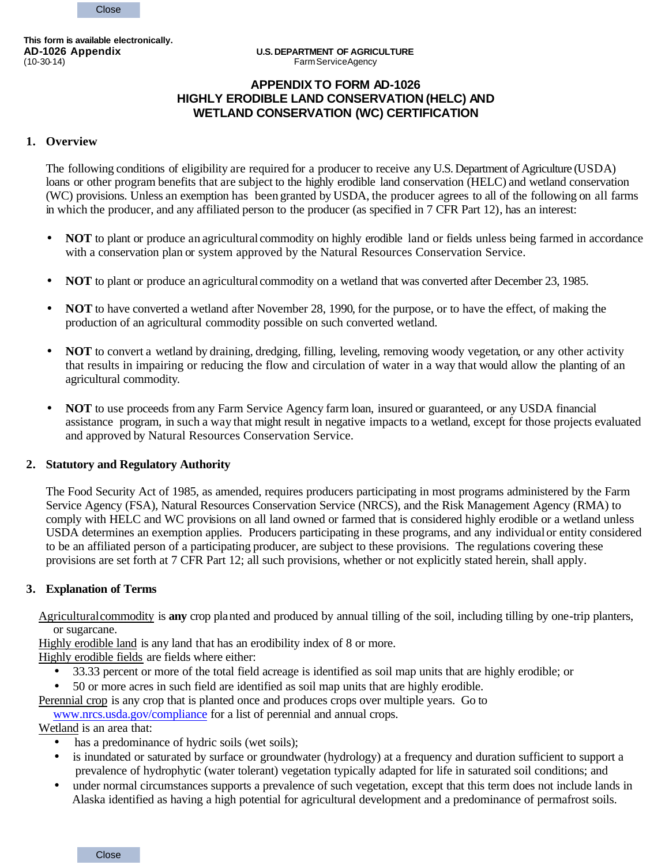**This form is available electronically.**

### **APPENDIX TO FORM AD-1026 HIGHLY ERODIBLE LAND CONSERVATION (HELC) AND WETLAND CONSERVATION (WC) CERTIFICATION**

#### **1. Overview**

The following conditions of eligibility are required for a producer to receive any U.S. Department of Agriculture (USDA) loans or other program benefits that are subject to the highly erodible land conservation (HELC) and wetland conservation (WC) provisions. Unless an exemption has been granted by USDA, the producer agrees to all of the following on all farms in which the producer, and any affiliated person to the producer (as specified in 7 CFR Part 12), has an interest:

- **NOT** to plant or produce an agricultural commodity on highly erodible land or fields unless being farmed in accordance with a conservation plan or system approved by the Natural Resources Conservation Service.
- **NOT** to plant or produce an agricultural commodity on a wetland that was converted after December 23, 1985.
- **NOT** to have converted a wetland after November 28, 1990, for the purpose, or to have the effect, of making the production of an agricultural commodity possible on such converted wetland.
- **NOT** to convert a wetland by draining, dredging, filling, leveling, removing woody vegetation, or any other activity that results in impairing or reducing the flow and circulation of water in a way that would allow the planting of an agricultural commodity.
- **NOT** to use proceeds from any Farm Service Agency farm loan, insured or guaranteed, or any USDA financial assistance program, in such a way that might result in negative impacts to a wetland, except for those projects evaluated and approved by Natural Resources Conservation Service.

#### **2. Statutory and Regulatory Authority**

The Food Security Act of 1985, as amended, requires producers participating in most programs administered by the Farm Service Agency (FSA), Natural Resources Conservation Service (NRCS), and the Risk Management Agency (RMA) to comply with HELC and WC provisions on all land owned or farmed that is considered highly erodible or a wetland unless USDA determines an exemption applies. Producers participating in these programs, and any individual or entity considered to be an affiliated person of a participating producer, are subject to these provisions. The regulations covering these provisions are set forth at 7 CFR Part 12; all such provisions, whether or not explicitly stated herein, shall apply.

#### **3. Explanation of Terms**

Agriculturalcommodity is **any** crop planted and produced by annual tilling of the soil, including tilling by one-trip planters, or sugarcane.

Highly erodible land is any land that has an erodibility index of 8 or more.

Highly erodible fields are fields where either:

- 33.33 percent or more of the total field acreage is identified as soil map units that are highly erodible; or
- 50 or more acres in such field are identified as soil map units that are highly erodible.

Perennial crop is any crop that is planted once and produces crops over multiple years. Go to

www.nrcs.usda.gov/compliance for a list of perennial and annual crops.

Wetland is an area that:

- has a predominance of hydric soils (wet soils);
- is inundated or saturated by surface or groundwater (hydrology) at a frequency and duration sufficient to support a prevalence of hydrophytic (water tolerant) vegetation typically adapted for life in saturated soil conditions; and
- under normal circumstances supports a prevalence of such vegetation, except that this term does not include lands in Alaska identified as having a high potential for agricultural development and a predominance of permafrost soils.

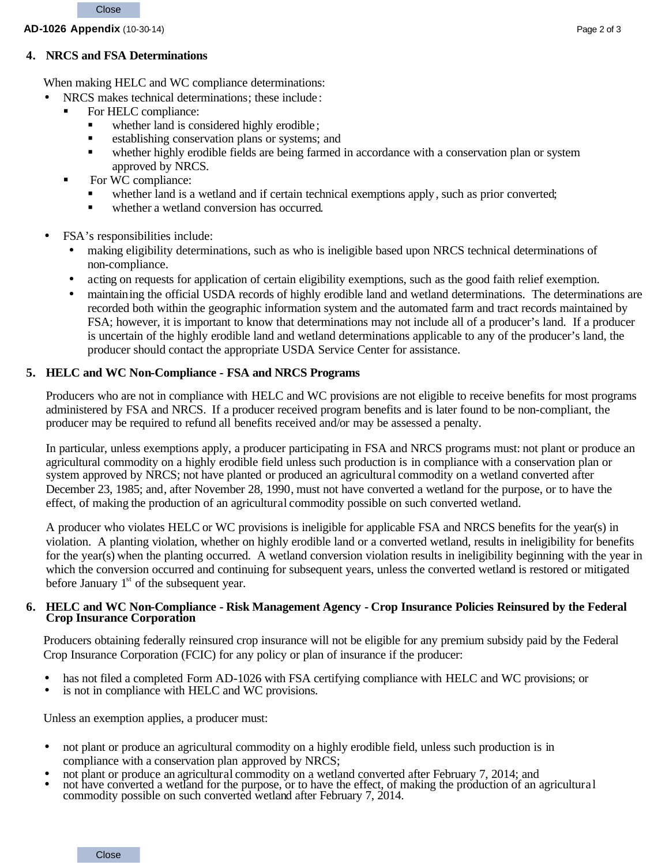### **4. NRCS and FSA Determinations**

When making HELC and WC compliance determinations:

- NRCS makes technical determinations; these include:
	- For HELC compliance:
		- whether land is considered highly erodible;
		- ß establishing conservation plans or systems; and
		- whether highly erodible fields are being farmed in accordance with a conservation plan or system approved by NRCS.
	- For WC compliance:
		- whether land is a wetland and if certain technical exemptions apply, such as prior converted;
		- whether a wetland conversion has occurred.
- FSA's responsibilities include:
	- making eligibility determinations, such as who is ineligible based upon NRCS technical determinations of non-compliance.
	- acting on requests for application of certain eligibility exemptions, such as the good faith relief exemption.
	- maintaining the official USDA records of highly erodible land and wetland determinations. The determinations are recorded both within the geographic information system and the automated farm and tract records maintained by FSA; however, it is important to know that determinations may not include all of a producer's land. If a producer is uncertain of the highly erodible land and wetland determinations applicable to any of the producer's land, the producer should contact the appropriate USDA Service Center for assistance.

# **5. HELC and WC Non-Compliance - FSA and NRCS Programs**

Producers who are not in compliance with HELC and WC provisions are not eligible to receive benefits for most programs administered by FSA and NRCS. If a producer received program benefits and is later found to be non-compliant, the producer may be required to refund all benefits received and/or may be assessed a penalty.

In particular, unless exemptions apply, a producer participating in FSA and NRCS programs must: not plant or produce an agricultural commodity on a highly erodible field unless such production is in compliance with a conservation plan or system approved by NRCS; not have planted or produced an agricultural commodity on a wetland converted after December 23, 1985; and, after November 28, 1990, must not have converted a wetland for the purpose, or to have the effect, of making the production of an agricultural commodity possible on such converted wetland.

A producer who violates HELC or WC provisions is ineligible for applicable FSA and NRCS benefits for the year(s) in violation. A planting violation, whether on highly erodible land or a converted wetland, results in ineligibility for benefits for the year(s) when the planting occurred. A wetland conversion violation results in ineligibility beginning with the year in which the conversion occurred and continuing for subsequent years, unless the converted wetland is restored or mitigated before January  $1<sup>st</sup>$  of the subsequent year.

### **6. HELC and WC Non-Compliance - Risk Management Agency - Crop Insurance Policies Reinsured by the Federal Crop Insurance Corporation**

Producers obtaining federally reinsured crop insurance will not be eligible for any premium subsidy paid by the Federal Crop Insurance Corporation (FCIC) for any policy or plan of insurance if the producer:

- has not filed a completed Form AD-1026 with FSA certifying compliance with HELC and WC provisions; or
- is not in compliance with HELC and WC provisions.

Unless an exemption applies, a producer must:

- not plant or produce an agricultural commodity on a highly erodible field, unless such production is in compliance with a conservation plan approved by NRCS;
- not plant or produce an agricultural commodity on a wetland converted after February 7, 2014; and
- not have converted a wetland for the purpose, or to have the effect, of making the production of an agricultural commodity possible on such converted wetland after February 7, 2014.